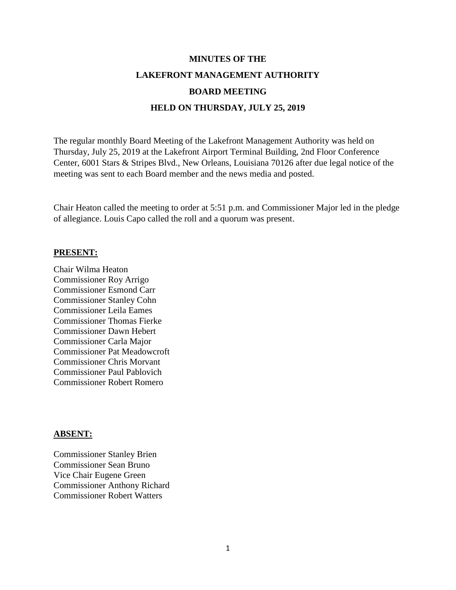# **MINUTES OF THE LAKEFRONT MANAGEMENT AUTHORITY BOARD MEETING HELD ON THURSDAY, JULY 25, 2019**

The regular monthly Board Meeting of the Lakefront Management Authority was held on Thursday, July 25, 2019 at the Lakefront Airport Terminal Building, 2nd Floor Conference Center, 6001 Stars & Stripes Blvd., New Orleans, Louisiana 70126 after due legal notice of the meeting was sent to each Board member and the news media and posted.

Chair Heaton called the meeting to order at 5:51 p.m. and Commissioner Major led in the pledge of allegiance. Louis Capo called the roll and a quorum was present.

#### **PRESENT:**

Chair Wilma Heaton Commissioner Roy Arrigo Commissioner Esmond Carr Commissioner Stanley Cohn Commissioner Leila Eames Commissioner Thomas Fierke Commissioner Dawn Hebert Commissioner Carla Major Commissioner Pat Meadowcroft Commissioner Chris Morvant Commissioner Paul Pablovich Commissioner Robert Romero

#### **ABSENT:**

Commissioner Stanley Brien Commissioner Sean Bruno Vice Chair Eugene Green Commissioner Anthony Richard Commissioner Robert Watters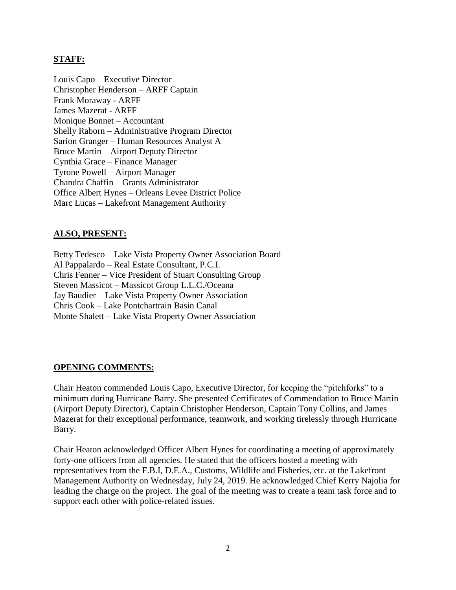## **STAFF:**

Louis Capo – Executive Director Christopher Henderson – ARFF Captain Frank Moraway - ARFF James Mazerat - ARFF Monique Bonnet – Accountant Shelly Raborn – Administrative Program Director Sarion Granger – Human Resources Analyst A Bruce Martin – Airport Deputy Director Cynthia Grace – Finance Manager Tyrone Powell – Airport Manager Chandra Chaffin – Grants Administrator Office Albert Hynes – Orleans Levee District Police Marc Lucas – Lakefront Management Authority

## **ALSO, PRESENT:**

Betty Tedesco – Lake Vista Property Owner Association Board Al Pappalardo – Real Estate Consultant, P.C.I. Chris Fenner – Vice President of Stuart Consulting Group Steven Massicot – Massicot Group L.L.C./Oceana Jay Baudier – Lake Vista Property Owner Association Chris Cook – Lake Pontchartrain Basin Canal Monte Shalett – Lake Vista Property Owner Association

#### **OPENING COMMENTS:**

Chair Heaton commended Louis Capo, Executive Director, for keeping the "pitchforks" to a minimum during Hurricane Barry. She presented Certificates of Commendation to Bruce Martin (Airport Deputy Director), Captain Christopher Henderson, Captain Tony Collins, and James Mazerat for their exceptional performance, teamwork, and working tirelessly through Hurricane Barry.

Chair Heaton acknowledged Officer Albert Hynes for coordinating a meeting of approximately forty-one officers from all agencies. He stated that the officers hosted a meeting with representatives from the F.B.I, D.E.A., Customs, Wildlife and Fisheries, etc. at the Lakefront Management Authority on Wednesday, July 24, 2019. He acknowledged Chief Kerry Najolia for leading the charge on the project. The goal of the meeting was to create a team task force and to support each other with police-related issues.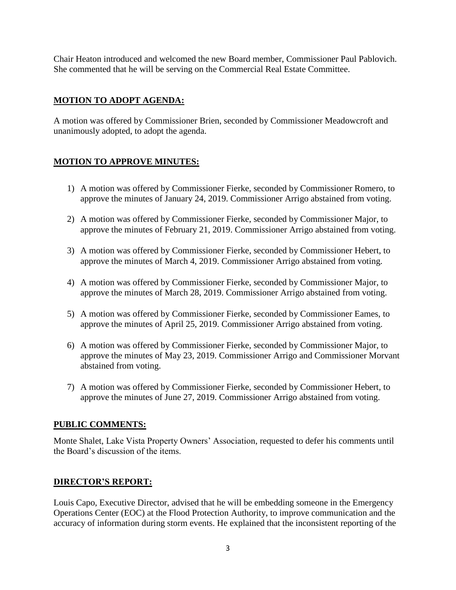Chair Heaton introduced and welcomed the new Board member, Commissioner Paul Pablovich. She commented that he will be serving on the Commercial Real Estate Committee.

## **MOTION TO ADOPT AGENDA:**

A motion was offered by Commissioner Brien, seconded by Commissioner Meadowcroft and unanimously adopted, to adopt the agenda.

# **MOTION TO APPROVE MINUTES:**

- 1) A motion was offered by Commissioner Fierke, seconded by Commissioner Romero, to approve the minutes of January 24, 2019. Commissioner Arrigo abstained from voting.
- 2) A motion was offered by Commissioner Fierke, seconded by Commissioner Major, to approve the minutes of February 21, 2019. Commissioner Arrigo abstained from voting.
- 3) A motion was offered by Commissioner Fierke, seconded by Commissioner Hebert, to approve the minutes of March 4, 2019. Commissioner Arrigo abstained from voting.
- 4) A motion was offered by Commissioner Fierke, seconded by Commissioner Major, to approve the minutes of March 28, 2019. Commissioner Arrigo abstained from voting.
- 5) A motion was offered by Commissioner Fierke, seconded by Commissioner Eames, to approve the minutes of April 25, 2019. Commissioner Arrigo abstained from voting.
- 6) A motion was offered by Commissioner Fierke, seconded by Commissioner Major, to approve the minutes of May 23, 2019. Commissioner Arrigo and Commissioner Morvant abstained from voting.
- 7) A motion was offered by Commissioner Fierke, seconded by Commissioner Hebert, to approve the minutes of June 27, 2019. Commissioner Arrigo abstained from voting.

## **PUBLIC COMMENTS:**

Monte Shalet, Lake Vista Property Owners' Association, requested to defer his comments until the Board's discussion of the items.

# **DIRECTOR'S REPORT:**

Louis Capo, Executive Director, advised that he will be embedding someone in the Emergency Operations Center (EOC) at the Flood Protection Authority, to improve communication and the accuracy of information during storm events. He explained that the inconsistent reporting of the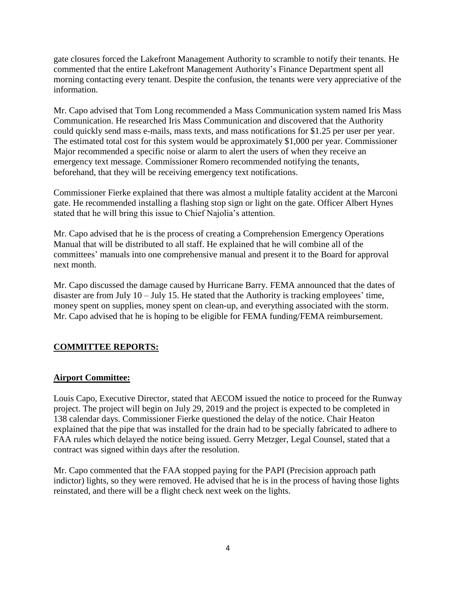gate closures forced the Lakefront Management Authority to scramble to notify their tenants. He commented that the entire Lakefront Management Authority's Finance Department spent all morning contacting every tenant. Despite the confusion, the tenants were very appreciative of the information.

Mr. Capo advised that Tom Long recommended a Mass Communication system named Iris Mass Communication. He researched Iris Mass Communication and discovered that the Authority could quickly send mass e-mails, mass texts, and mass notifications for \$1.25 per user per year. The estimated total cost for this system would be approximately \$1,000 per year. Commissioner Major recommended a specific noise or alarm to alert the users of when they receive an emergency text message. Commissioner Romero recommended notifying the tenants, beforehand, that they will be receiving emergency text notifications.

Commissioner Fierke explained that there was almost a multiple fatality accident at the Marconi gate. He recommended installing a flashing stop sign or light on the gate. Officer Albert Hynes stated that he will bring this issue to Chief Najolia's attention.

Mr. Capo advised that he is the process of creating a Comprehension Emergency Operations Manual that will be distributed to all staff. He explained that he will combine all of the committees' manuals into one comprehensive manual and present it to the Board for approval next month.

Mr. Capo discussed the damage caused by Hurricane Barry. FEMA announced that the dates of disaster are from July 10 – July 15. He stated that the Authority is tracking employees' time, money spent on supplies, money spent on clean-up, and everything associated with the storm. Mr. Capo advised that he is hoping to be eligible for FEMA funding/FEMA reimbursement.

# **COMMITTEE REPORTS:**

## **Airport Committee:**

Louis Capo, Executive Director, stated that AECOM issued the notice to proceed for the Runway project. The project will begin on July 29, 2019 and the project is expected to be completed in 138 calendar days. Commissioner Fierke questioned the delay of the notice. Chair Heaton explained that the pipe that was installed for the drain had to be specially fabricated to adhere to FAA rules which delayed the notice being issued. Gerry Metzger, Legal Counsel, stated that a contract was signed within days after the resolution.

Mr. Capo commented that the FAA stopped paying for the PAPI (Precision approach path indictor) lights, so they were removed. He advised that he is in the process of having those lights reinstated, and there will be a flight check next week on the lights.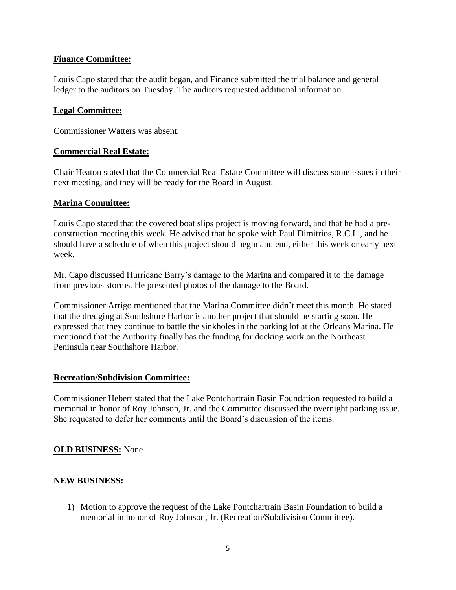## **Finance Committee:**

Louis Capo stated that the audit began, and Finance submitted the trial balance and general ledger to the auditors on Tuesday. The auditors requested additional information.

#### **Legal Committee:**

Commissioner Watters was absent.

#### **Commercial Real Estate:**

Chair Heaton stated that the Commercial Real Estate Committee will discuss some issues in their next meeting, and they will be ready for the Board in August.

## **Marina Committee:**

Louis Capo stated that the covered boat slips project is moving forward, and that he had a preconstruction meeting this week. He advised that he spoke with Paul Dimitrios, R.C.L., and he should have a schedule of when this project should begin and end, either this week or early next week.

Mr. Capo discussed Hurricane Barry's damage to the Marina and compared it to the damage from previous storms. He presented photos of the damage to the Board.

Commissioner Arrigo mentioned that the Marina Committee didn't meet this month. He stated that the dredging at Southshore Harbor is another project that should be starting soon. He expressed that they continue to battle the sinkholes in the parking lot at the Orleans Marina. He mentioned that the Authority finally has the funding for docking work on the Northeast Peninsula near Southshore Harbor.

## **Recreation/Subdivision Committee:**

Commissioner Hebert stated that the Lake Pontchartrain Basin Foundation requested to build a memorial in honor of Roy Johnson, Jr. and the Committee discussed the overnight parking issue. She requested to defer her comments until the Board's discussion of the items.

## **OLD BUSINESS:** None

## **NEW BUSINESS:**

1) Motion to approve the request of the Lake Pontchartrain Basin Foundation to build a memorial in honor of Roy Johnson, Jr. (Recreation/Subdivision Committee).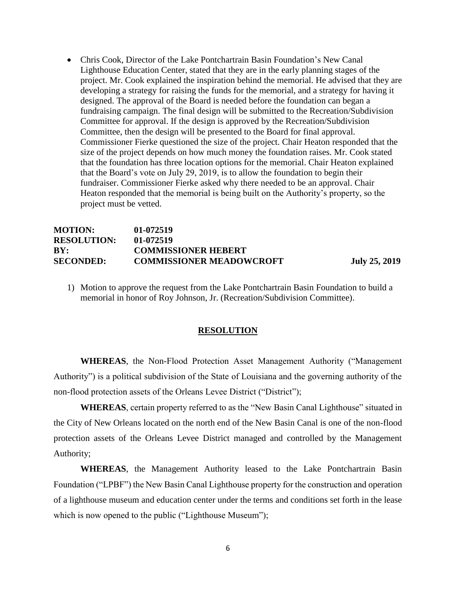• Chris Cook, Director of the Lake Pontchartrain Basin Foundation's New Canal Lighthouse Education Center, stated that they are in the early planning stages of the project. Mr. Cook explained the inspiration behind the memorial. He advised that they are developing a strategy for raising the funds for the memorial, and a strategy for having it designed. The approval of the Board is needed before the foundation can began a fundraising campaign. The final design will be submitted to the Recreation/Subdivision Committee for approval. If the design is approved by the Recreation/Subdivision Committee, then the design will be presented to the Board for final approval. Commissioner Fierke questioned the size of the project. Chair Heaton responded that the size of the project depends on how much money the foundation raises. Mr. Cook stated that the foundation has three location options for the memorial. Chair Heaton explained that the Board's vote on July 29, 2019, is to allow the foundation to begin their fundraiser. Commissioner Fierke asked why there needed to be an approval. Chair Heaton responded that the memorial is being built on the Authority's property, so the project must be vetted.

#### **MOTION: 01-072519 RESOLUTION: 01-072519 BY: COMMISSIONER HEBERT SECONDED: COMMISSIONER MEADOWCROFT July 25, 2019**

1) Motion to approve the request from the Lake Pontchartrain Basin Foundation to build a memorial in honor of Roy Johnson, Jr. (Recreation/Subdivision Committee).

#### **RESOLUTION**

**WHEREAS**, the Non-Flood Protection Asset Management Authority ("Management Authority") is a political subdivision of the State of Louisiana and the governing authority of the non-flood protection assets of the Orleans Levee District ("District");

**WHEREAS**, certain property referred to as the "New Basin Canal Lighthouse" situated in the City of New Orleans located on the north end of the New Basin Canal is one of the non-flood protection assets of the Orleans Levee District managed and controlled by the Management Authority;

**WHEREAS**, the Management Authority leased to the Lake Pontchartrain Basin Foundation ("LPBF") the New Basin Canal Lighthouse property for the construction and operation of a lighthouse museum and education center under the terms and conditions set forth in the lease which is now opened to the public ("Lighthouse Museum");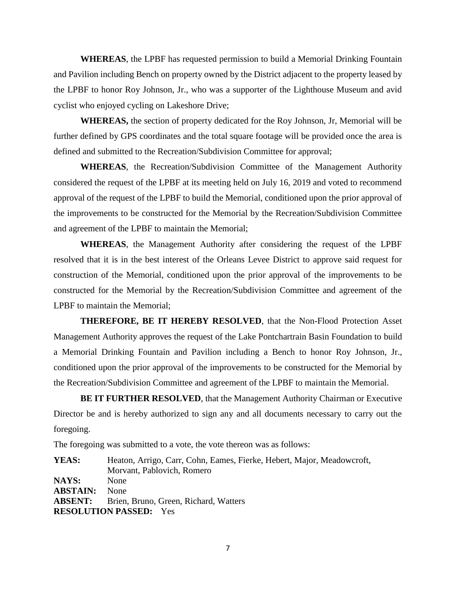**WHEREAS**, the LPBF has requested permission to build a Memorial Drinking Fountain and Pavilion including Bench on property owned by the District adjacent to the property leased by the LPBF to honor Roy Johnson, Jr., who was a supporter of the Lighthouse Museum and avid cyclist who enjoyed cycling on Lakeshore Drive;

**WHEREAS,** the section of property dedicated for the Roy Johnson, Jr, Memorial will be further defined by GPS coordinates and the total square footage will be provided once the area is defined and submitted to the Recreation/Subdivision Committee for approval;

**WHEREAS**, the Recreation/Subdivision Committee of the Management Authority considered the request of the LPBF at its meeting held on July 16, 2019 and voted to recommend approval of the request of the LPBF to build the Memorial, conditioned upon the prior approval of the improvements to be constructed for the Memorial by the Recreation/Subdivision Committee and agreement of the LPBF to maintain the Memorial;

**WHEREAS**, the Management Authority after considering the request of the LPBF resolved that it is in the best interest of the Orleans Levee District to approve said request for construction of the Memorial, conditioned upon the prior approval of the improvements to be constructed for the Memorial by the Recreation/Subdivision Committee and agreement of the LPBF to maintain the Memorial;

**THEREFORE, BE IT HEREBY RESOLVED**, that the Non-Flood Protection Asset Management Authority approves the request of the Lake Pontchartrain Basin Foundation to build a Memorial Drinking Fountain and Pavilion including a Bench to honor Roy Johnson, Jr., conditioned upon the prior approval of the improvements to be constructed for the Memorial by the Recreation/Subdivision Committee and agreement of the LPBF to maintain the Memorial.

**BE IT FURTHER RESOLVED**, that the Management Authority Chairman or Executive Director be and is hereby authorized to sign any and all documents necessary to carry out the foregoing.

The foregoing was submitted to a vote, the vote thereon was as follows:

**YEAS:** Heaton, Arrigo, Carr, Cohn, Eames, Fierke, Hebert, Major, Meadowcroft, Morvant, Pablovich, Romero **NAYS:** None **ABSTAIN:** None **ABSENT:** Brien, Bruno, Green, Richard, Watters **RESOLUTION PASSED:** Yes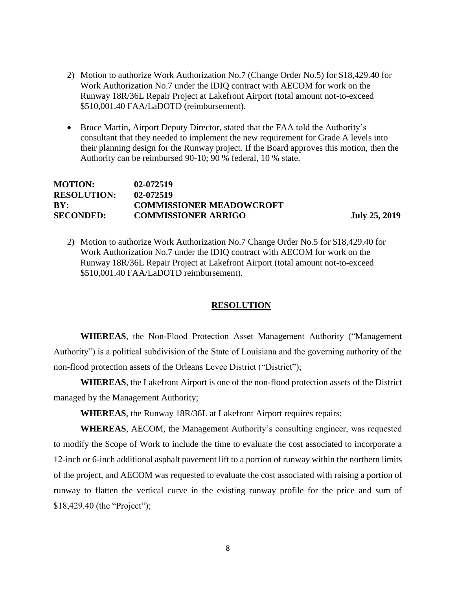- 2) Motion to authorize Work Authorization No.7 (Change Order No.5) for \$18,429.40 for Work Authorization No.7 under the IDIQ contract with AECOM for work on the Runway 18R/36L Repair Project at Lakefront Airport (total amount not-to-exceed \$510,001.40 FAA/LaDOTD (reimbursement).
- Bruce Martin, Airport Deputy Director, stated that the FAA told the Authority's consultant that they needed to implement the new requirement for Grade A levels into their planning design for the Runway project. If the Board approves this motion, then the Authority can be reimbursed 90-10; 90 % federal, 10 % state.

## **MOTION: 02-072519 RESOLUTION: 02-072519 BY: COMMISSIONER MEADOWCROFT SECONDED: COMMISSIONER ARRIGO July 25, 2019**

2) Motion to authorize Work Authorization No.7 Change Order No.5 for \$18,429.40 for Work Authorization No.7 under the IDIQ contract with AECOM for work on the Runway 18R/36L Repair Project at Lakefront Airport (total amount not-to-exceed \$510,001.40 FAA/LaDOTD reimbursement).

#### **RESOLUTION**

**WHEREAS**, the Non-Flood Protection Asset Management Authority ("Management Authority") is a political subdivision of the State of Louisiana and the governing authority of the non-flood protection assets of the Orleans Levee District ("District");

**WHEREAS**, the Lakefront Airport is one of the non-flood protection assets of the District managed by the Management Authority;

**WHEREAS**, the Runway 18R/36L at Lakefront Airport requires repairs;

**WHEREAS**, AECOM, the Management Authority's consulting engineer, was requested to modify the Scope of Work to include the time to evaluate the cost associated to incorporate a 12-inch or 6-inch additional asphalt pavement lift to a portion of runway within the northern limits of the project, and AECOM was requested to evaluate the cost associated with raising a portion of runway to flatten the vertical curve in the existing runway profile for the price and sum of \$18,429.40 (the "Project");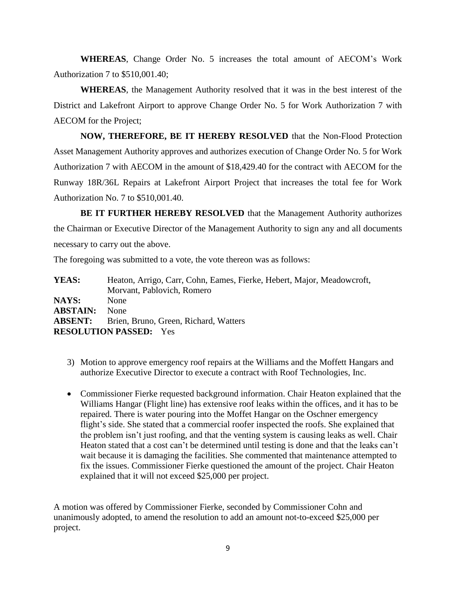**WHEREAS**, Change Order No. 5 increases the total amount of AECOM's Work Authorization 7 to \$510,001.40;

**WHEREAS**, the Management Authority resolved that it was in the best interest of the District and Lakefront Airport to approve Change Order No. 5 for Work Authorization 7 with AECOM for the Project;

**NOW, THEREFORE, BE IT HEREBY RESOLVED** that the Non-Flood Protection Asset Management Authority approves and authorizes execution of Change Order No. 5 for Work Authorization 7 with AECOM in the amount of \$18,429.40 for the contract with AECOM for the Runway 18R/36L Repairs at Lakefront Airport Project that increases the total fee for Work Authorization No. 7 to \$510,001.40.

**BE IT FURTHER HEREBY RESOLVED** that the Management Authority authorizes the Chairman or Executive Director of the Management Authority to sign any and all documents necessary to carry out the above.

The foregoing was submitted to a vote, the vote thereon was as follows:

| Heaton, Arrigo, Carr, Cohn, Eames, Fierke, Hebert, Major, Meadowcroft, |
|------------------------------------------------------------------------|
| Morvant, Pablovich, Romero                                             |
| <b>None</b>                                                            |
| <b>None</b>                                                            |
| <b>ABSENT:</b> Brien, Bruno, Green, Richard, Watters                   |
| <b>RESOLUTION PASSED:</b> Yes                                          |
|                                                                        |

- 3) Motion to approve emergency roof repairs at the Williams and the Moffett Hangars and authorize Executive Director to execute a contract with Roof Technologies, Inc.
- Commissioner Fierke requested background information. Chair Heaton explained that the Williams Hangar (Flight line) has extensive roof leaks within the offices, and it has to be repaired. There is water pouring into the Moffet Hangar on the Oschner emergency flight's side. She stated that a commercial roofer inspected the roofs. She explained that the problem isn't just roofing, and that the venting system is causing leaks as well. Chair Heaton stated that a cost can't be determined until testing is done and that the leaks can't wait because it is damaging the facilities. She commented that maintenance attempted to fix the issues. Commissioner Fierke questioned the amount of the project. Chair Heaton explained that it will not exceed \$25,000 per project.

A motion was offered by Commissioner Fierke, seconded by Commissioner Cohn and unanimously adopted, to amend the resolution to add an amount not-to-exceed \$25,000 per project.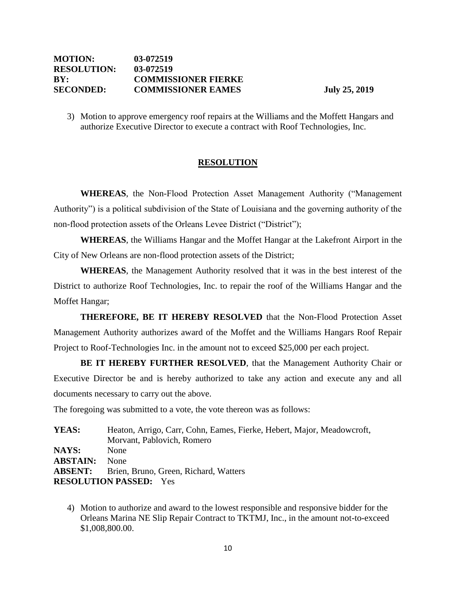## **MOTION: 03-072519 RESOLUTION: 03-072519 BY: COMMISSIONER FIERKE SECONDED: COMMISSIONER EAMES July 25, 2019**

3) Motion to approve emergency roof repairs at the Williams and the Moffett Hangars and authorize Executive Director to execute a contract with Roof Technologies, Inc.

## **RESOLUTION**

**WHEREAS**, the Non-Flood Protection Asset Management Authority ("Management Authority") is a political subdivision of the State of Louisiana and the governing authority of the non-flood protection assets of the Orleans Levee District ("District");

**WHEREAS**, the Williams Hangar and the Moffet Hangar at the Lakefront Airport in the City of New Orleans are non-flood protection assets of the District;

**WHEREAS**, the Management Authority resolved that it was in the best interest of the District to authorize Roof Technologies, Inc. to repair the roof of the Williams Hangar and the Moffet Hangar;

**THEREFORE, BE IT HEREBY RESOLVED** that the Non-Flood Protection Asset Management Authority authorizes award of the Moffet and the Williams Hangars Roof Repair Project to Roof-Technologies Inc. in the amount not to exceed \$25,000 per each project.

**BE IT HEREBY FURTHER RESOLVED**, that the Management Authority Chair or Executive Director be and is hereby authorized to take any action and execute any and all documents necessary to carry out the above.

The foregoing was submitted to a vote, the vote thereon was as follows:

**YEAS:** Heaton, Arrigo, Carr, Cohn, Eames, Fierke, Hebert, Major, Meadowcroft, Morvant, Pablovich, Romero **NAYS:** None **ABSTAIN:** None **ABSENT:** Brien, Bruno, Green, Richard, Watters **RESOLUTION PASSED:** Yes

4) Motion to authorize and award to the lowest responsible and responsive bidder for the Orleans Marina NE Slip Repair Contract to TKTMJ, Inc., in the amount not-to-exceed \$1,008,800.00.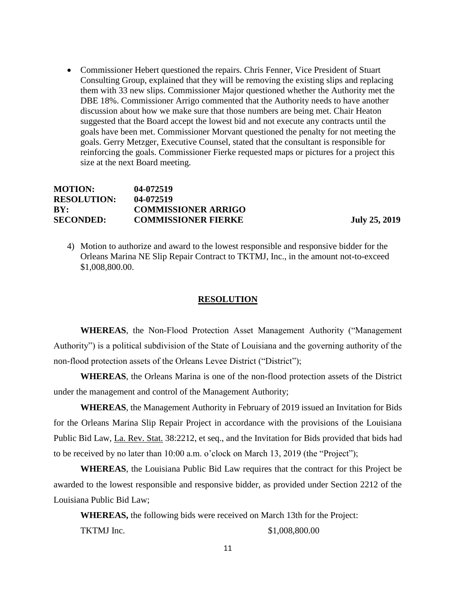• Commissioner Hebert questioned the repairs. Chris Fenner, Vice President of Stuart Consulting Group, explained that they will be removing the existing slips and replacing them with 33 new slips. Commissioner Major questioned whether the Authority met the DBE 18%. Commissioner Arrigo commented that the Authority needs to have another discussion about how we make sure that those numbers are being met. Chair Heaton suggested that the Board accept the lowest bid and not execute any contracts until the goals have been met. Commissioner Morvant questioned the penalty for not meeting the goals. Gerry Metzger, Executive Counsel, stated that the consultant is responsible for reinforcing the goals. Commissioner Fierke requested maps or pictures for a project this size at the next Board meeting.

#### **MOTION: 04-072519 RESOLUTION: 04-072519 BY: COMMISSIONER ARRIGO SECONDED: COMMISSIONER FIERKE July 25, 2019**

4) Motion to authorize and award to the lowest responsible and responsive bidder for the Orleans Marina NE Slip Repair Contract to TKTMJ, Inc., in the amount not-to-exceed \$1,008,800.00.

#### **RESOLUTION**

**WHEREAS**, the Non-Flood Protection Asset Management Authority ("Management Authority") is a political subdivision of the State of Louisiana and the governing authority of the non-flood protection assets of the Orleans Levee District ("District");

**WHEREAS**, the Orleans Marina is one of the non-flood protection assets of the District under the management and control of the Management Authority;

**WHEREAS**, the Management Authority in February of 2019 issued an Invitation for Bids for the Orleans Marina Slip Repair Project in accordance with the provisions of the Louisiana Public Bid Law, La. Rev. Stat. 38:2212, et seq., and the Invitation for Bids provided that bids had to be received by no later than 10:00 a.m. o'clock on March 13, 2019 (the "Project");

**WHEREAS**, the Louisiana Public Bid Law requires that the contract for this Project be awarded to the lowest responsible and responsive bidder, as provided under Section 2212 of the Louisiana Public Bid Law;

**WHEREAS,** the following bids were received on March 13th for the Project:

TKTMJ Inc. \$1,008,800.00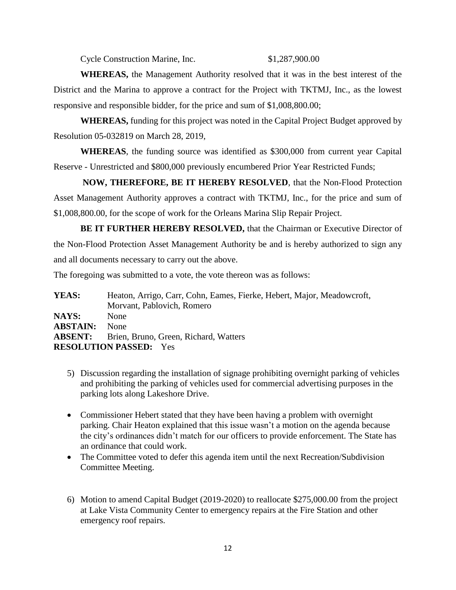Cycle Construction Marine, Inc. \$1,287,900.00

**WHEREAS,** the Management Authority resolved that it was in the best interest of the District and the Marina to approve a contract for the Project with TKTMJ, Inc., as the lowest responsive and responsible bidder, for the price and sum of \$1,008,800.00;

**WHEREAS,** funding for this project was noted in the Capital Project Budget approved by Resolution 05-032819 on March 28, 2019,

**WHEREAS**, the funding source was identified as \$300,000 from current year Capital Reserve - Unrestricted and \$800,000 previously encumbered Prior Year Restricted Funds;

**NOW, THEREFORE, BE IT HEREBY RESOLVED**, that the Non-Flood Protection Asset Management Authority approves a contract with TKTMJ, Inc., for the price and sum of \$1,008,800.00, for the scope of work for the Orleans Marina Slip Repair Project.

**BE IT FURTHER HEREBY RESOLVED,** that the Chairman or Executive Director of the Non-Flood Protection Asset Management Authority be and is hereby authorized to sign any and all documents necessary to carry out the above.

The foregoing was submitted to a vote, the vote thereon was as follows:

**YEAS:** Heaton, Arrigo, Carr, Cohn, Eames, Fierke, Hebert, Major, Meadowcroft, Morvant, Pablovich, Romero **NAYS:** None **ABSTAIN:** None **ABSENT:** Brien, Bruno, Green, Richard, Watters **RESOLUTION PASSED:** Yes

- 5) Discussion regarding the installation of signage prohibiting overnight parking of vehicles and prohibiting the parking of vehicles used for commercial advertising purposes in the parking lots along Lakeshore Drive.
- Commissioner Hebert stated that they have been having a problem with overnight parking. Chair Heaton explained that this issue wasn't a motion on the agenda because the city's ordinances didn't match for our officers to provide enforcement. The State has an ordinance that could work.
- The Committee voted to defer this agenda item until the next Recreation/Subdivision Committee Meeting.
- 6) Motion to amend Capital Budget (2019-2020) to reallocate \$275,000.00 from the project at Lake Vista Community Center to emergency repairs at the Fire Station and other emergency roof repairs.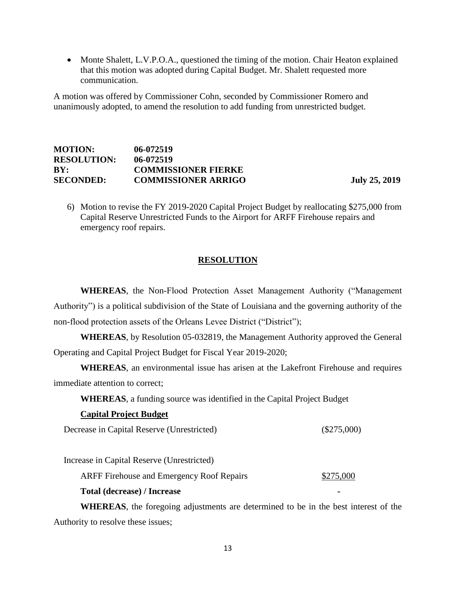• Monte Shalett, L.V.P.O.A., questioned the timing of the motion. Chair Heaton explained that this motion was adopted during Capital Budget. Mr. Shalett requested more communication.

A motion was offered by Commissioner Cohn, seconded by Commissioner Romero and unanimously adopted, to amend the resolution to add funding from unrestricted budget.

## **MOTION: 06-072519 RESOLUTION: 06-072519 BY: COMMISSIONER FIERKE SECONDED: COMMISSIONER ARRIGO July 25, 2019**

6) Motion to revise the FY 2019-2020 Capital Project Budget by reallocating \$275,000 from Capital Reserve Unrestricted Funds to the Airport for ARFF Firehouse repairs and emergency roof repairs.

## **RESOLUTION**

**WHEREAS**, the Non-Flood Protection Asset Management Authority ("Management Authority") is a political subdivision of the State of Louisiana and the governing authority of the non-flood protection assets of the Orleans Levee District ("District");

**WHEREAS**, by Resolution 05-032819, the Management Authority approved the General Operating and Capital Project Budget for Fiscal Year 2019-2020;

**WHEREAS**, an environmental issue has arisen at the Lakefront Firehouse and requires immediate attention to correct;

**WHEREAS**, a funding source was identified in the Capital Project Budget

#### **Capital Project Budget**

Decrease in Capital Reserve (Unrestricted) (\$275,000)

Increase in Capital Reserve (Unrestricted)

ARFF Firehouse and Emergency Roof Repairs \$275,000

**Total (decrease) / Increase -**

**WHEREAS**, the foregoing adjustments are determined to be in the best interest of the Authority to resolve these issues;